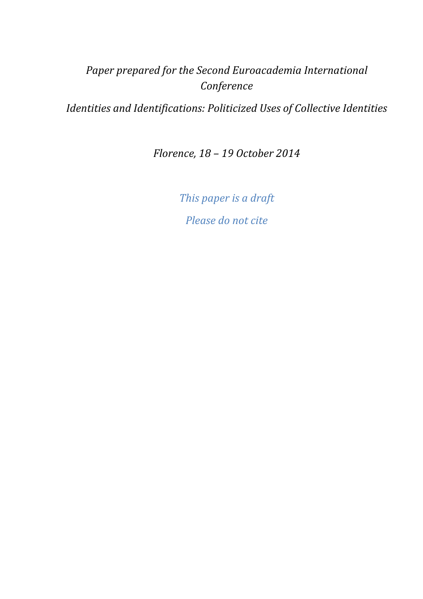# *Paper prepared for the Second Euroacademia International Conference*

*Identities and Identifications: Politicized Uses of Collective Identities* 

*Florence, 18 – 19 October 2014* 

*This paper is a draft Please do not cite*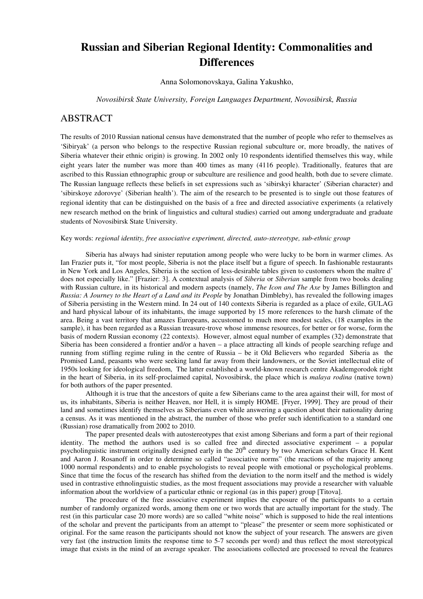## **Russian and Siberian Regional Identity: Commonalities and Differences**

Anna Solomonovskaya, Galina Yakushko,

*Novosibirsk State University, Foreign Languages Department, Novosibirsk, Russia* 

## **ABSTRACT**

The results of 2010 Russian national census have demonstrated that the number of people who refer to themselves as 'Sibiryak' (a person who belongs to the respective Russian regional subculture or, more broadly, the natives of Siberia whatever their ethnic origin) is growing. In 2002 only 10 respondents identified themselves this way, while eight years later the number was more than 400 times as many (4116 people). Traditionally, features that are ascribed to this Russian ethnographic group or subculture are resilience and good health, both due to severe climate. The Russian language reflects these beliefs in set expressions such as 'sibirskyi kharacter' (Siberian character) and 'sibirskoye zdorovye' (Siberian health'). The aim of the research to be presented is to single out those features of regional identity that can be distinguished on the basis of a free and directed associative experiments (a relatively new research method on the brink of linguistics and cultural studies) carried out among undergraduate and graduate students of Novosibirsk State University.

#### Key words: *regional identity, free associative experiment, directed, auto-stereotype, sub-ethnic group*

Siberia has always had sinister reputation among people who were lucky to be born in warmer climes. As Ian Frazier puts it, "for most people, Siberia is not the place itself but a figure of speech. In fashionable restaurants in New York and Los Angeles, Siberia is the section of less-desirable tables given to customers whom the maître d' does not especially like." [Frazier: 3]. A contextual analysis of *Siberia* or *Siberian* sample from two books dealing with Russian culture, in its historical and modern aspects (namely, *The Icon and The Axe* by James Billington and *Russia: A Journey to the Heart of a Land and its People* by Jonathan Dimbleby), has revealed the following images of Siberia persisting in the Western mind. In 24 out of 140 contexts Siberia is regarded as a place of exile, GULAG and hard physical labour of its inhabitants, the image supported by 15 more references to the harsh climate of the area. Being a vast territory that amazes Europeans, accustomed to much more modest scales, (18 examples in the sample), it has been regarded as a Russian treasure-trove whose immense resources, for better or for worse, form the basis of modern Russian economy (22 contexts). However, almost equal number of examples (32) demonstrate that Siberia has been considered a frontier and/or a haven – a place attracting all kinds of people searching refuge and running from stifling regime ruling in the centre of Russia – be it Old Believers who regarded Siberia as the Promised Land, peasants who were seeking land far away from their landowners, or the Soviet intellectual elite of 1950s looking for ideological freedom, The latter established a world-known research centre Akademgorodok right in the heart of Siberia, in its self-proclaimed capital, Novosibirsk, the place which is *malaya rodina* (native town) for both authors of the paper presented.

Although it is true that the ancestors of quite a few Siberians came to the area against their will, for most of us, its inhabitants, Siberia is neither Heaven, nor Hell, it is simply HOME. [Fryer, 1999]. They are proud of their land and sometimes identify themselves as Siberians even while answering a question about their nationality during a census. As it was mentioned in the abstract, the number of those who prefer such identification to a standard one (Russian) rose dramatically from 2002 to 2010.

The paper presented deals with autostereotypes that exist among Siberians and form a part of their regional identity. The method the authors used is so called free and directed associative experiment – a popular psycholinguistic instrument originally designed early in the 20<sup>th</sup> century by two American scholars Grace H. Kent and Aaron J. Rosanoff in order to determine so called "associative norms" (the reactions of the majority among 1000 normal respondents) and to enable psychologists to reveal people with emotional or psychological problems. Since that time the focus of the research has shifted from the deviation to the norm itself and the method is widely used in contrastive ethnolinguistic studies, as the most frequent associations may provide a researcher with valuable information about the worldview of a particular ethnic or regional (as in this paper) group [Titova].

The procedure of the free associative experiment implies the exposure of the participants to a certain number of randomly organized words, among them one or two words that are actually important for the study. The rest (in this particular case 20 more words) are so called "white noise" which is supposed to hide the real intentions of the scholar and prevent the participants from an attempt to "please" the presenter or seem more sophisticated or original. For the same reason the participants should not know the subject of your research. The answers are given very fast (the instruction limits the response time to 5-7 seconds per word) and thus reflect the most stereotypical image that exists in the mind of an average speaker. The associations collected are processed to reveal the features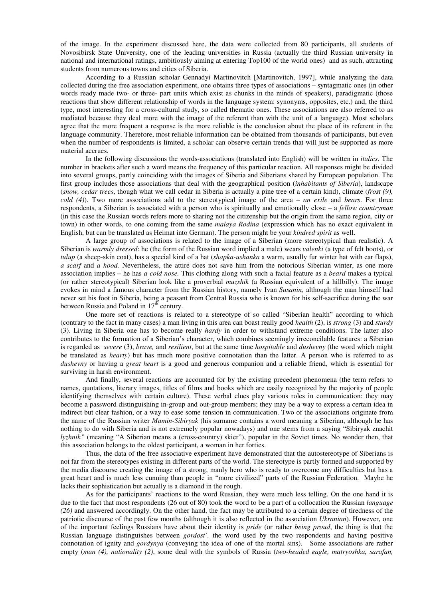of the image. In the experiment discussed here, the data were collected from 80 participants, all students of Novosibirsk State University, one of the leading universities in Russia (actually the third Russian university in national and international ratings, ambitiously aiming at entering Top100 of the world ones) and as such, attracting students from numerous towns and cities of Siberia.

According to a Russian scholar Gennadyi Martinovitch [Martinovitch, 1997], while analyzing the data collected during the free association experiment, one obtains three types of associations – syntagmatic ones (in other words ready made two- or three- part units which exist as chunks in the minds of speakers), paradigmatic (those reactions that show different relationship of words in the language system: synonyms, opposites, etc.) and, the third type, most interesting for a cross-cultural study, so called thematic ones. These associations are also referred to as mediated because they deal more with the image of the referent than with the unit of a language). Most scholars agree that the more frequent a response is the more reliable is the conclusion about the place of its referent in the language community. Therefore, most reliable information can be obtained from thousands of participants, but even when the number of respondents is limited, a scholar can observe certain trends that will just be supported as more material accrues.

In the following discussions the words-associations (translated into English) will be written in *italics.* The number in brackets after such a word means the frequency of this particular reaction. All responses might be divided into several groups, partly coinciding with the images of Siberia and Siberians shared by European population. The first group includes those associations that deal with the geographical position (*inhabitants of Siberia*), landscape (*snow, cedar trees*, though what we call cedar in Siberia is actually a pine tree of a certain kind), climate (*frost (9), cold (4)*). Two more associations add to the stereotypical image of the area – *an exile* and *bears*. For three respondents, a Siberian is associated with a person who is spiritually and emotionally close – a *fellow countryman*  (in this case the Russian words refers more to sharing not the citizenship but the origin from the same region, city or town) in other words, to one coming from the same *malaya Rodina* (expression which has no exact equivalent in English, but can be translated as Heimat into German). The person might be your *kindred spirit* as well.

A large group of associations is related to the image of a Siberian (more stereotypical than realistic). A Siberian is *warmly dressed*: he (the form of the Russian word implied a male) wears *valenki* (a type of felt boots), or *tulup* (a sheep-skin coat), has a special kind of a hat (*shapka-ushanka* a warm, usually fur winter hat with ear flaps), *a scarf* and *a hood.* Nevertheless, the attire does not save him from the notorious Siberian winter, as one more association implies – he has *a cold nose.* This clothing along with such a facial feature as a *beard* makes a typical (or rather stereotypical) Siberian look like a proverbial *muzshik* (a Russian equivalent of a hillbilly). The image evokes in mind a famous character from the Russian history, namely Ivan *Susanin*, although the man himself had never set his foot in Siberia, being a peasant from Central Russia who is known for his self-sacrifice during the war between Russia and Poland in  $17<sup>th</sup>$  century.

One more set of reactions is related to a stereotype of so called "Siberian health" according to which (contrary to the fact in many cases) a man living in this area can boast really good *health* (2), is *strong* (3) and *sturdy* (3). Living in Siberia one has to become really *hardy* in order to withstand extreme conditions. The latter also contributes to the formation of a Siberian's character, which combines seemingly irreconcilable features: a Siberian is regarded as *severe* (3), *brave,* and *resilient*, but at the same time *hospitable* and *dushevny* (the word which might be translated as *hearty*) but has much more positive connotation than the latter. A person who is referred to as *dushevny* or having a *great heart* is a good and generous companion and a reliable friend, which is essential for surviving in harsh environment.

And finally, several reactions are accounted for by the existing precedent phenomena (the term refers to names, quotations, literary images, titles of films and books which are easily recognized by the majority of people identifying themselves with certain culture). These verbal clues play various roles in communication: they may become a password distinguishing in-group and out-group members; they may be a way to express a certain idea in indirect but clear fashion, or a way to ease some tension in communication. Two of the associations originate from the name of the Russian writer *Mamin-Sibiryak* (his surname contains a word meaning a Siberian, although he has nothing to do with Siberia and is not extremely popular nowadays) and one stems from a saying "Sibiryak znachit *lyzhnik"* (meaning "A Siberian means a (cross-country) skier"), popular in the Soviet times. No wonder then, that this association belongs to the oldest participant, a woman in her forties.

Thus, the data of the free associative experiment have demonstrated that the autostereotype of Siberians is not far from the stereotypes existing in different parts of the world. The stereotype is partly formed and supported by the media discourse creating the image of a strong, manly hero who is ready to overcome any difficulties but has a great heart and is much less cunning than people in "more civilized" parts of the Russian Federation. Maybe he lacks their sophistication but actually is a diamond in the rough.

As for the participants' reactions to the word Russian, they were much less telling. On the one hand it is due to the fact that most respondents (26 out of 80) took the word to be a part of a collocation the Russian *language (26)* and answered accordingly. On the other hand, the fact may be attributed to a certain degree of tiredness of the patriotic discourse of the past few months (although it is also reflected in the association *Ukranian*). However, one of the important feelings Russians have about their identity is *pride* (or rather *being proud*, the thing is that the Russian language distinguishes between *gordost',* the word used by the two respondents and having positive connotation of ignity and *gordynya* (conveying the idea of one of the mortal sins). Some associations are rather empty (*man (4), nationality (2)*, some deal with the symbols of Russia (*two-headed eagle, matryoshka, sarafan,*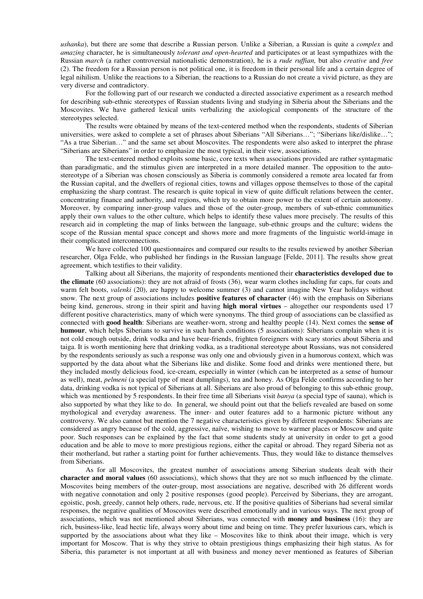*ushanka*), but there are some that describe a Russian person. Unlike a Siberian, a Russian is quite a *complex* and *amazing* character, he is simultaneously *tolerant and open-hearted* and participates or at least sympathizes with the Russian *march* (a rather controversial nationalistic demonstration), he is a *rude ruffian,* but also *creative* and *free* (2). The freedom for a Russian person is not political one, it is freedom in their personal life and a certain degree of legal nihilism. Unlike the reactions to a Siberian, the reactions to a Russian do not create a vivid picture, as they are very diverse and contradictory.

For the following part of our research we conducted a directed associative experiment as a research method for describing sub-ethnic stereotypes of Russian students living and studying in Siberia about the Siberians and the Moscovites. We have gathered lexical units verbalizing the axiological components of the structure of the stereotypes selected.

The results were obtained by means of the text-centered method when the respondents, students of Siberian universities, were asked to complete a set of phrases about Siberians "All Siberians…"; "Siberians like/dislike…"; "As a true Siberian…" and the same set about Moscovites. The respondents were also asked to interpret the phrase "Siberians are Siberians" in order to emphasize the most typical, in their view, associations.

The text-centered method exploits some basic, core texts when associations provided are rather syntagmatic than paradigmatic, and the stimulus given are interpreted in a more detailed manner. The opposition to the autostereotype of a Siberian was chosen consciously as Siberia is commonly considered a remote area located far from the Russian capital, and the dwellers of regional cities, towns and villages oppose themselves to those of the capital emphasizing the sharp contrast. The research is quite topical in view of quite difficult relations between the center, concentrating finance and authority, and regions, which try to obtain more power to the extent of certain autonomy. Moreover, by comparing inner-group values and those of the outer-group, members of sub-ethnic communities apply their own values to the other culture, which helps to identify these values more precisely. The results of this research aid in completing the map of links between the language, sub-ethnic groups and the culture; widens the scope of the Russian mental space concept and shows more and more fragments of the linguistic world-image in their complicated interconnections.

We have collected 100 questionnaires and compared our results to the results reviewed by another Siberian researcher, Olga Felde, who published her findings in the Russian language [Felde, 2011]. The results show great agreement, which testifies to their validity.

Talking about all Siberians, the majority of respondents mentioned their **characteristics developed due to the climate** (60 associations): they are not afraid of frosts (36), wear warm clothes including fur caps, fur coats and warm felt boots, *valenki* (20), are happy to welcome summer (3) and cannot imagine New Year holidays without snow. The next group of associations includes **positive features of character** (46) with the emphasis on Siberians being kind, generous, strong in their spirit and having **high moral virtues** – altogether our respondents used 17 different positive characteristics, many of which were synonyms. The third group of associations can be classified as connected with **good health**: Siberians are weather-worn, strong and healthy people (14). Next comes the **sense of humour**, which helps Siberians to survive in such harsh conditions (5 associations): Siberians complain when it is not cold enough outside, drink vodka and have bear-friends, frighten foreigners with scary stories about Siberia and taiga. It is worth mentioning here that drinking vodka, as a traditional stereotype about Russians, was not considered by the respondents seriously as such a response was only one and obviously given in a humorous context, which was supported by the data about what the Siberians like and dislike. Some food and drinks were mentioned there, but they included mostly delicious food, ice-cream, especially in winter (which can be interpreted as a sense of humour as well), meat, *pelmeni* (a special type of meat dumplings), tea and honey. As Olga Felde confirms according to her data, drinking vodka is not typical of Siberians at all. Siberians are also proud of belonging to this sub-ethnic group, which was mentioned by 5 respondents. In their free time all Siberians visit *banya* (a special type of sauna), which is also supported by what they like to do. In general, we should point out that the beliefs revealed are based on some mythological and everyday awareness. The inner- and outer features add to a harmonic picture without any controversy. We also cannot but mention the 7 negative characteristics given by different respondents: Siberians are considered as angry because of the cold, aggressive, naïve, wishing to move to warmer places or Moscow and quite poor. Such responses can be explained by the fact that some students study at university in order to get a good education and be able to move to more prestigious regions, either the capital or abroad. They regard Siberia not as their motherland, but rather a starting point for further achievements. Thus, they would like to distance themselves from Siberians.

As for all Moscovites, the greatest number of associations among Siberian students dealt with their **character and moral values** (60 associations), which shows that they are not so much influenced by the climate. Moscovites being members of the outer-group, most associations are negative, described with 26 different words with negative connotation and only 2 positive responses (good people). Perceived by Siberians, they are arrogant, egoistic, posh, greedy, cannot help others, rude, nervous, etc. If the positive qualities of Siberians had several similar responses, the negative qualities of Moscovites were described emotionally and in various ways. The next group of associations, which was not mentioned about Siberians, was connected with **money and business** (16): they are rich, business-like, lead hectic life, always worry about time and being on time. They prefer luxurious cars, which is supported by the associations about what they like – Moscovites like to think about their image, which is very important for Moscow. That is why they strive to obtain prestigious things emphasizing their high status. As for Siberia, this parameter is not important at all with business and money never mentioned as features of Siberian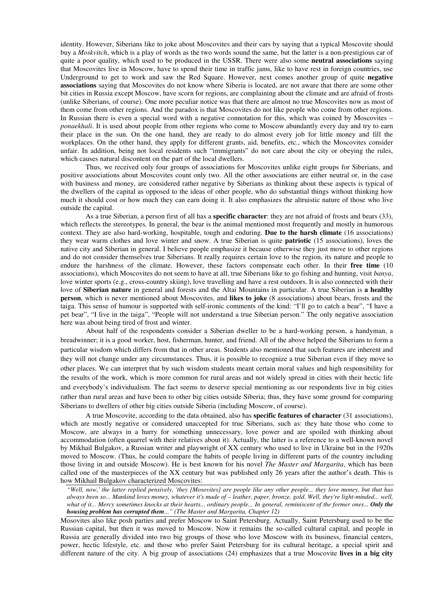identity. However, Siberians like to joke about Moscovites and their cars by saying that a typical Moscovite should buy a *Moskvitch*, which is a play of words as the two words sound the same, but the latter is a non-prestigious car of quite a poor quality, which used to be produced in the USSR. There were also some **neutral associations** saying that Moscovites live in Moscow, have to spend their time in traffic jams, like to have rest in foreign countries, use Underground to get to work and saw the Red Square. However, next comes another group of quite **negative associations** saying that Moscovites do not know where Siberia is located, are not aware that there are some other bit cities in Russia except Moscow, have scorn for regions, are complaining about the climate and are afraid of frosts (unlike Siberians, of course). One more peculiar notice was that there are almost no true Moscovites now as most of them come from other regions. And the paradox is that Moscovites do not like people who come from other regions. In Russian there is even a special word with a negative connotation for this, which was coined by Moscovites – *ponaekhali*. It is used about people from other regions who come to Moscow abundantly every day and try to earn their place in the sun. On the one hand, they are ready to do almost every job for little money and fill the workplaces. On the other hand, they apply for different grants, aid, benefits, etc., which the Moscovites consider unfair. In addition, being not local residents such "immigrants" do not care about the city or obeying the rules, which causes natural discontent on the part of the local dwellers.

Thus, we received only four groups of associations for Moscovites unlike eight groups for Siberians, and positive associations about Moscovites count only two. All the other associations are either neutral or, in the case with business and money, are considered rather negative by Siberians as thinking about these aspects is typical of the dwellers of the capital as opposed to the ideas of other people, who do substantial things without thinking how much it should cost or how much they can earn doing it. It also emphasizes the altruistic nature of those who live outside the capital.

As a true Siberian, a person first of all has a **specific character**: they are not afraid of frosts and bears (33), which reflects the stereotypes. In general, the bear is the animal mentioned most frequently and mostly in humorous context. They are also hard-working, hospitable, tough and enduring. **Due to the harsh climate** (16 associations) they wear warm clothes and love winter and snow. A true Siberian is quite **patriotic** (15 associations), loves the native city and Siberian in general. I believe people emphasize it because otherwise they just move to other regions and do not consider themselves true Siberians. It really requires certain love to the region, its nature and people to endure the harshness of the climate. However, these factors compensate each other. In their **free time** (10 associations), which Moscovites do not seem to have at all, true Siberians like to go fishing and hunting, visit *banya*, love winter sports (e.g., cross-country skiing), love travelling and have a rest outdoors. It is also connected with their love of **Siberian nature** in general and forests and the Altai Mountains in particular. A true Siberian is **a healthy person**, which is never mentioned about Moscovites, and **likes to joke** (8 associations) about bears, frosts and the taiga. This sense of humour is supported with self-ironic comments of the kind: "I'll go to catch a bear", "I have a pet bear", "I live in the taiga", "People will not understand a true Siberian person." The only negative association here was about being tired of frost and winter.

About half of the respondents consider a Siberian dweller to be a hard-working person, a handyman, a breadwinner; it is a good worker, host, fisherman, hunter, and friend. All of the above helped the Siberians to form a particular wisdom which differs from that in other areas. Students also mentioned that such features are inherent and they will not change under any circumstances. Thus, it is possible to recognize a true Siberian even if they move to other places. We can interpret that by such wisdom students meant certain moral values and high responsibility for the results of the work, which is more common for rural areas and not widely spread in cities with their hectic life and everybody's individualism. The fact seems to deserve special mentioning as our respondents live in big cities rather than rural areas and have been to other big cities outside Siberia; thus, they have some ground for comparing Siberians to dwellers of other big cities outside Siberia (including Moscow, of course).

A true Moscovite, according to the data obtained, also has **specific features of character** (31 associations), which are mostly negative or considered unaccepted for true Siberians, such as: they hate those who come to Moscow, are always in a hurry for something unnecessary, love power and are spoiled with thinking about accommodation (often quarrel with their relatives about it). Actually, the latter is a reference to a well-known novel by Mikhail Bulgakov, a Russian writer and playwright of XX century who used to live in Ukraine but in the 1920s moved to Moscow. (Thus, he could compare the habits of people living in different parts of the country including those living in and outside Moscow). He is best known for his novel *The Master and Margarita*, which has been called one of the masterpieces of the XX century but was published only 26 years after the author's death. This is how Mikhail Bulgakov characterized Moscovites:

*"Well, now,' the latter replied pensively, 'they [Mosovites] are people like any other people... they love money, but that has always been so... Mankind loves money, whatever it's made of – leather, paper, bronze, gold. Well, they're light-minded... well, what of it... Mercy sometimes knocks at their hearts... ordinary people... In general, reminiscent of the former ones... Only the housing problem has corrupted them..." (The Master and Margarita, Chapter 12)* 

Mosovites also like posh parties and prefer Moscow to Saint Petersburg. Actually, Saint Petersburg used to be the Russian capital, but then it was moved to Moscow. Now it remains the so-called cultural capital, and people in Russia are generally divided into two big groups of those who love Moscow with its business, financial centers, power, hectic lifestyle, etc. and those who prefer Saint Petersburg for its cultural heritage, a special spirit and different nature of the city. A big group of associations (24) emphasizes that a true Moscovite **lives in a big city**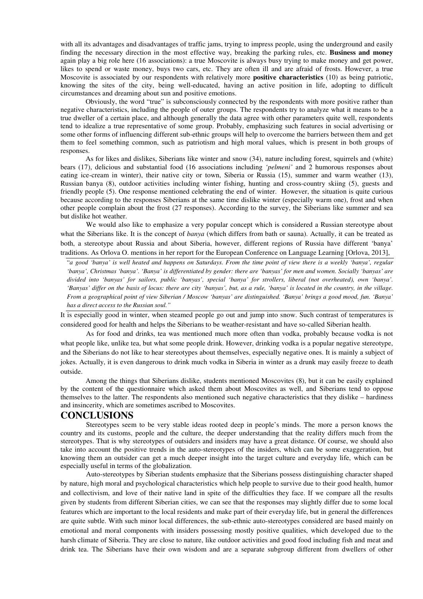with all its advantages and disadvantages of traffic jams, trying to impress people, using the underground and easily finding the necessary direction in the most effective way, breaking the parking rules, etc. **Business and money** again play a big role here (16 associations): a true Moscovite is always busy trying to make money and get power, likes to spend or waste money, buys two cars, etc. They are often ill and are afraid of frosts. However, a true Moscovite is associated by our respondents with relatively more **positive characteristics** (10) as being patriotic, knowing the sites of the city, being well-educated, having an active position in life, adopting to difficult circumstances and dreaming about sun and positive emotions.

Obviously, the word "true" is subconsciously connected by the respondents with more positive rather than negative characteristics, including the people of outer groups. The respondents try to analyze what it means to be a true dweller of a certain place, and although generally the data agree with other parameters quite well, respondents tend to idealize a true representative of some group. Probably, emphasizing such features in social advertising or some other forms of influencing different sub-ethnic groups will help to overcome the barriers between them and get them to feel something common, such as patriotism and high moral values, which is present in both groups of responses.

As for likes and dislikes, Siberians like winter and snow (34), nature including forest, squirrels and (white) bears (17), delicious and substantial food (16 associations including *'pelmeni'* and 2 humorous responses about eating ice-cream in winter), their native city or town, Siberia or Russia (15), summer and warm weather (13), Russian banya (8), outdoor activities including winter fishing, hunting and cross-country skiing (5), guests and friendly people (5). One response mentioned celebrating the end of winter. However, the situation is quite curious because according to the responses Siberians at the same time dislike winter (especially warm one), frost and when other people complain about the frost (27 responses). According to the survey, the Siberians like summer and sea but dislike hot weather.

We would also like to emphasize a very popular concept which is considered a Russian stereotype about what the Siberians like. It is the concept of *banya* (which differs from bath or sauna). Actually, it can be treated as both, a stereotype about Russia and about Siberia, however, different regions of Russia have different 'banya' traditions. As Orlova O. mentions in her report for the European Conference on Language Learning [Orlova, 2013],

"*a good 'banya' is well heated and happens on Saturdays. From the time point of view there is a weekly 'banya', regular 'banya', Christmas 'banya'. 'Banya' is differentiated by gender: there are 'banyas' for men and women. Socially 'banyas' are divided into 'banyas' for sailors, public 'banyas', special 'banya' for strollers, liberal (not overheated), own 'banya'. 'Banyas' differ on the basis of locus: there are city 'banyas', but, as a rule, 'banya' is located in the country, in the village. From a geographical point of view Siberian / Moscow 'banyas' are distinguished. 'Banya' brings a good mood, fun. 'Banya' has a direct access to the Russian soul."* 

It is especially good in winter, when steamed people go out and jump into snow. Such contrast of temperatures is considered good for health and helps the Siberians to be weather-resistant and have so-called Siberian health.

As for food and drinks, tea was mentioned much more often than vodka, probably because vodka is not what people like, unlike tea, but what some people drink. However, drinking vodka is a popular negative stereotype, and the Siberians do not like to hear stereotypes about themselves, especially negative ones. It is mainly a subject of jokes. Actually, it is even dangerous to drink much vodka in Siberia in winter as a drunk may easily freeze to death outside.

Among the things that Siberians dislike, students mentioned Moscovites (8), but it can be easily explained by the content of the questionnaire which asked them about Moscovites as well, and Siberians tend to oppose themselves to the latter. The respondents also mentioned such negative characteristics that they dislike – hardiness and insincerity, which are sometimes ascribed to Moscovites.

## **CONCLUSIONS**

Stereotypes seem to be very stable ideas rooted deep in people's minds. The more a person knows the country and its customs, people and the culture, the deeper understanding that the reality differs much from the stereotypes. That is why stereotypes of outsiders and insiders may have a great distance. Of course, we should also take into account the positive trends in the auto-stereotypes of the insiders, which can be some exaggeration, but knowing them an outsider can get a much deeper insight into the target culture and everyday life, which can be especially useful in terms of the globalization.

Auto-stereotypes by Siberian students emphasize that the Siberians possess distinguishing character shaped by nature, high moral and psychological characteristics which help people to survive due to their good health, humor and collectivism, and love of their native land in spite of the difficulties they face. If we compare all the results given by students from different Siberian cities, we can see that the responses may slightly differ due to some local features which are important to the local residents and make part of their everyday life, but in general the differences are quite subtle. With such minor local differences, the sub-ethnic auto-stereotypes considered are based mainly on emotional and moral components with insiders possessing mostly positive qualities, which developed due to the harsh climate of Siberia. They are close to nature, like outdoor activities and good food including fish and meat and drink tea. The Siberians have their own wisdom and are a separate subgroup different from dwellers of other